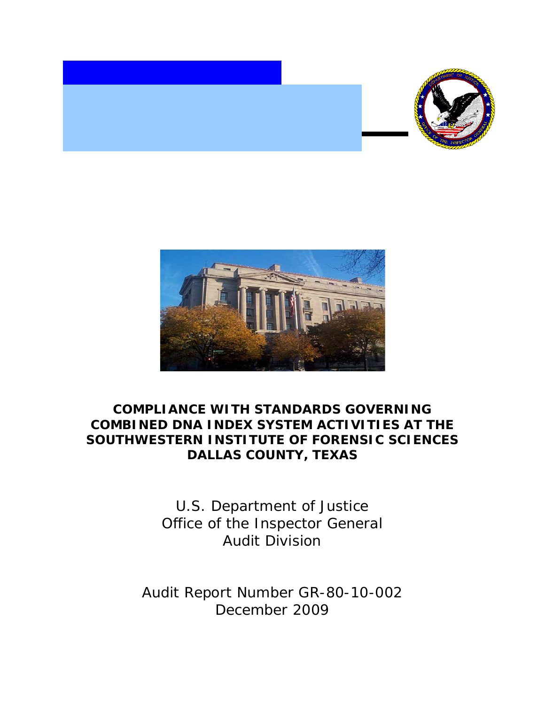



## **COMPLIANCE WITH STANDARDS GOVERNING COMBINED DNA INDEX SYSTEM ACTIVITIES AT THE SOUTHWESTERN INSTITUTE OF FORENSIC SCIENCES DALLAS COUNTY, TEXAS**

U.S. Department of Justice Office of the Inspector General Audit Division

Audit Report Number GR-80-10-002 December 2009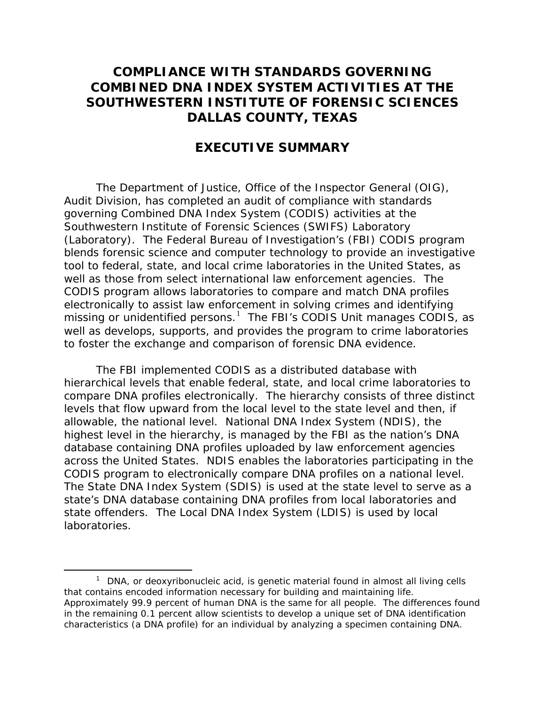## **COMPLIANCE WITH STANDARDS GOVERNING COMBINED DNA INDEX SYSTEM ACTIVITIES AT THE SOUTHWESTERN INSTITUTE OF FORENSIC SCIENCES DALLAS COUNTY, TEXAS**

## **EXECUTIVE SUMMARY**

The Department of Justice, Office of the Inspector General (OIG), Audit Division, has completed an audit of compliance with standards governing Combined DNA Index System (CODIS) activities at the Southwestern Institute of Forensic Sciences (SWIFS) Laboratory (Laboratory). The Federal Bureau of Investigation's (FBI) CODIS program blends forensic science and computer technology to provide an investigative tool to federal, state, and local crime laboratories in the United States, as well as those from select international law enforcement agencies. The CODIS program allows laboratories to compare and match DNA profiles electronically to assist law enforcement in solving crimes and identifying missing or unidentified persons. $1$  The FBI's CODIS Unit manages CODIS, as well as develops, supports, and provides the program to crime laboratories to foster the exchange and comparison of forensic DNA evidence.

The FBI implemented CODIS as a distributed database with hierarchical levels that enable federal, state, and local crime laboratories to compare DNA profiles electronically. The hierarchy consists of three distinct levels that flow upward from the local level to the state level and then, if allowable, the national level. National DNA Index System (NDIS), the highest level in the hierarchy, is managed by the FBI as the nation's DNA database containing DNA profiles uploaded by law enforcement agencies across the United States. NDIS enables the laboratories participating in the CODIS program to electronically compare DNA profiles on a national level. The State DNA Index System (SDIS) is used at the state level to serve as a state's DNA database containing DNA profiles from local laboratories and state offenders. The Local DNA Index System (LDIS) is used by local laboratories.

<span id="page-1-0"></span> $\overline{\phantom{a}}$  1  $1$  DNA, or deoxyribonucleic acid, is genetic material found in almost all living cells that contains encoded information necessary for building and maintaining life. Approximately 99.9 percent of human DNA is the same for all people. The differences found in the remaining 0.1 percent allow scientists to develop a unique set of DNA identification characteristics (a DNA profile) for an individual by analyzing a specimen containing DNA.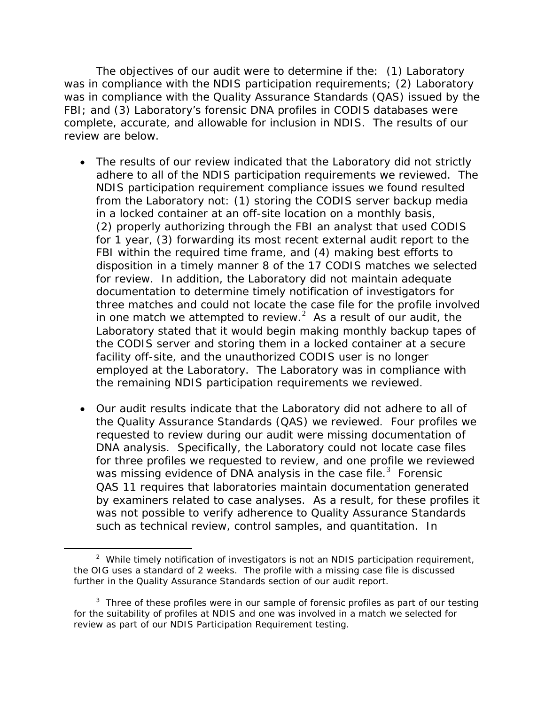The objectives of our audit were to determine if the: (1) Laboratory was in compliance with the NDIS participation requirements; (2) Laboratory was in compliance with the Quality Assurance Standards (QAS) issued by the FBI; and (3) Laboratory's forensic DNA profiles in CODIS databases were complete, accurate, and allowable for inclusion in NDIS. The results of our review are below.

- The results of our review indicated that the Laboratory did not strictly adhere to all of the NDIS participation requirements we reviewed. The NDIS participation requirement compliance issues we found resulted from the Laboratory not: (1) storing the CODIS server backup media in a locked container at an off-site location on a monthly basis, (2) properly authorizing through the FBI an analyst that used CODIS for 1 year, (3) forwarding its most recent external audit report to the FBI within the required time frame, and (4) making best efforts to disposition in a timely manner 8 of the 17 CODIS matches we selected for review. In addition, the Laboratory did not maintain adequate documentation to determine timely notification of investigators for three matches and could not locate the case file for the profile involved in one match we attempted to review. $^2$  $^2$  As a result of our audit, the Laboratory stated that it would begin making monthly backup tapes of the CODIS server and storing them in a locked container at a secure facility off-site, and the unauthorized CODIS user is no longer employed at the Laboratory. The Laboratory was in compliance with the remaining NDIS participation requirements we reviewed.
- Our audit results indicate that the Laboratory did not adhere to all of the Quality Assurance Standards (QAS) we reviewed. Four profiles we requested to review during our audit were missing documentation of DNA analysis. Specifically, the Laboratory could not locate case files for three profiles we requested to review, and one profile we reviewed was missing evidence of DNA analysis in the case file. $3$  Forensic QAS 11 requires that laboratories maintain documentation generated by examiners related to case analyses. As a result, for these profiles it was not possible to verify adherence to Quality Assurance Standards such as technical review, control samples, and quantitation. In

 $\overline{a}$ 

<span id="page-2-0"></span><sup>&</sup>lt;sup>2</sup> While timely notification of investigators is not an NDIS participation requirement, the OIG uses a standard of 2 weeks. The profile with a missing case file is discussed further in the Quality Assurance Standards section of our audit report.

<span id="page-2-1"></span> $3$  Three of these profiles were in our sample of forensic profiles as part of our testing for the suitability of profiles at NDIS and one was involved in a match we selected for review as part of our NDIS Participation Requirement testing.